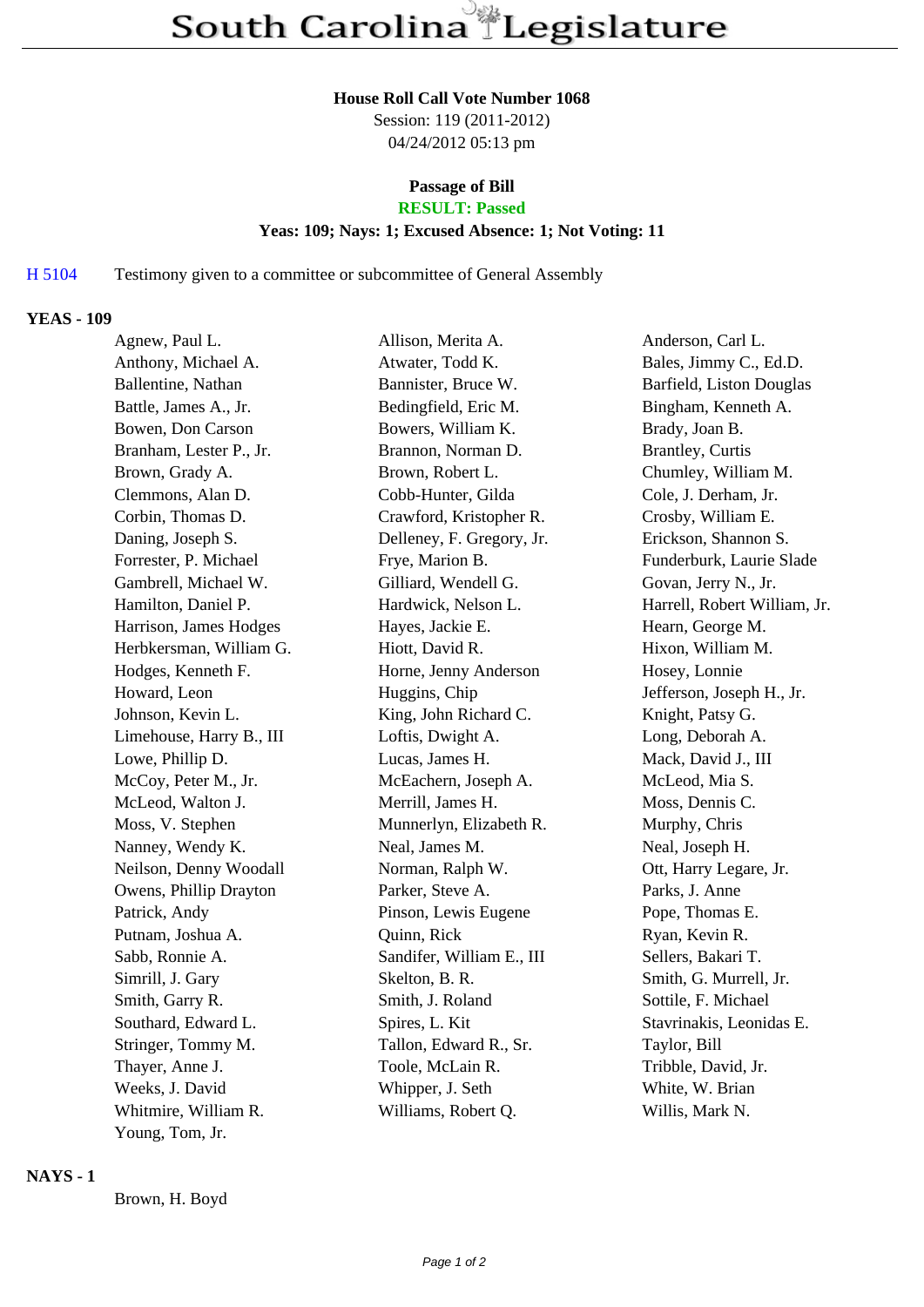#### **House Roll Call Vote Number 1068**

Session: 119 (2011-2012) 04/24/2012 05:13 pm

# **Passage of Bill**

# **RESULT: Passed**

### **Yeas: 109; Nays: 1; Excused Absence: 1; Not Voting: 11**

## H 5104 Testimony given to a committee or subcommittee of General Assembly

### **YEAS - 109**

| Agnew, Paul L.           | Allison, Merita A.        | Anderson, Carl L.            |
|--------------------------|---------------------------|------------------------------|
| Anthony, Michael A.      | Atwater, Todd K.          | Bales, Jimmy C., Ed.D.       |
| Ballentine, Nathan       | Bannister, Bruce W.       | Barfield, Liston Douglas     |
| Battle, James A., Jr.    | Bedingfield, Eric M.      | Bingham, Kenneth A.          |
| Bowen, Don Carson        | Bowers, William K.        | Brady, Joan B.               |
| Branham, Lester P., Jr.  | Brannon, Norman D.        | Brantley, Curtis             |
| Brown, Grady A.          | Brown, Robert L.          | Chumley, William M.          |
| Clemmons, Alan D.        | Cobb-Hunter, Gilda        | Cole, J. Derham, Jr.         |
| Corbin, Thomas D.        | Crawford, Kristopher R.   | Crosby, William E.           |
| Daning, Joseph S.        | Delleney, F. Gregory, Jr. | Erickson, Shannon S.         |
| Forrester, P. Michael    | Frye, Marion B.           | Funderburk, Laurie Slade     |
| Gambrell, Michael W.     | Gilliard, Wendell G.      | Govan, Jerry N., Jr.         |
| Hamilton, Daniel P.      | Hardwick, Nelson L.       | Harrell, Robert William, Jr. |
| Harrison, James Hodges   | Hayes, Jackie E.          | Hearn, George M.             |
| Herbkersman, William G.  | Hiott, David R.           | Hixon, William M.            |
| Hodges, Kenneth F.       | Horne, Jenny Anderson     | Hosey, Lonnie                |
| Howard, Leon             | Huggins, Chip             | Jefferson, Joseph H., Jr.    |
| Johnson, Kevin L.        | King, John Richard C.     | Knight, Patsy G.             |
| Limehouse, Harry B., III | Loftis, Dwight A.         | Long, Deborah A.             |
| Lowe, Phillip D.         | Lucas, James H.           | Mack, David J., III          |
| McCoy, Peter M., Jr.     | McEachern, Joseph A.      | McLeod, Mia S.               |
| McLeod, Walton J.        | Merrill, James H.         | Moss, Dennis C.              |
| Moss, V. Stephen         | Munnerlyn, Elizabeth R.   | Murphy, Chris                |
| Nanney, Wendy K.         | Neal, James M.            | Neal, Joseph H.              |
| Neilson, Denny Woodall   | Norman, Ralph W.          | Ott, Harry Legare, Jr.       |
| Owens, Phillip Drayton   | Parker, Steve A.          | Parks, J. Anne               |
| Patrick, Andy            | Pinson, Lewis Eugene      | Pope, Thomas E.              |
| Putnam, Joshua A.        | Quinn, Rick               | Ryan, Kevin R.               |
| Sabb, Ronnie A.          | Sandifer, William E., III | Sellers, Bakari T.           |
| Simrill, J. Gary         | Skelton, B. R.            | Smith, G. Murrell, Jr.       |
| Smith, Garry R.          | Smith, J. Roland          | Sottile, F. Michael          |
| Southard, Edward L.      | Spires, L. Kit            | Stavrinakis, Leonidas E.     |
| Stringer, Tommy M.       | Tallon, Edward R., Sr.    | Taylor, Bill                 |
| Thayer, Anne J.          | Toole, McLain R.          | Tribble, David, Jr.          |
| Weeks, J. David          | Whipper, J. Seth          | White, W. Brian              |
| Whitmire, William R.     | Williams, Robert Q.       | Willis, Mark N.              |
| Young, Tom, Jr.          |                           |                              |

### **NAYS - 1**

Brown, H. Boyd